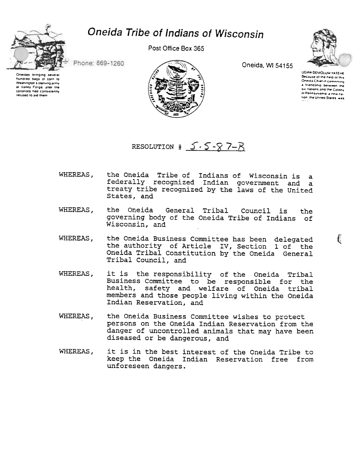

## Oneida Tribe of Indians of Wisconsin

Post Office Box 365



Phone: 869-1260

Oneidas bringing several hundred bags of corn to Washington's starving army at Valley Forge, after the colonists had consistently refused to aid them



Oneida, WI 54155

UGWA DEMOLUM YATEHE Because of the neig of this Oneida Chief in cementing a friendship between the six nations and the Colony of Pennsylvania a new nation the United States was

Ê

RESOLUTION  $\sharp \sqrt{5}$  -  $\sqrt{7}$  -  $\}/$ 

- the Oneida Tribe of Indians of Wisconsin is a WHEREAS, federally recognized Indian government and a treaty tribe recognized by the laws of the United States, and
- WHEREAS, the Oneida General Tribal Council is the governing body of the Oneida Tribe of Indians of Wisconsin, and
- the Oneida Business Committee has been delegated WHEREAS. the authority of Article IV, Section 1 of the<br>Oneida Tribal Constitution by the Oneida General Tribal Council, and
- WHEREAS, it is the responsibility of the Oneida Tribal Business Committee to be responsible for the health, safety and welfare of Oneida tribal members and those people living within the Oneida Indian Reservation, and
- WHEREAS, the Oneida Business Committee wishes to protect persons on the Oneida Indian Reservation from the danger of uncontrolled animals that may have been diseased or be dangerous, and
- WHEREAS. it is in the best interest of the Oneida Tribe to keep the Oneida Indian Reservation free from unforeseen dangers.